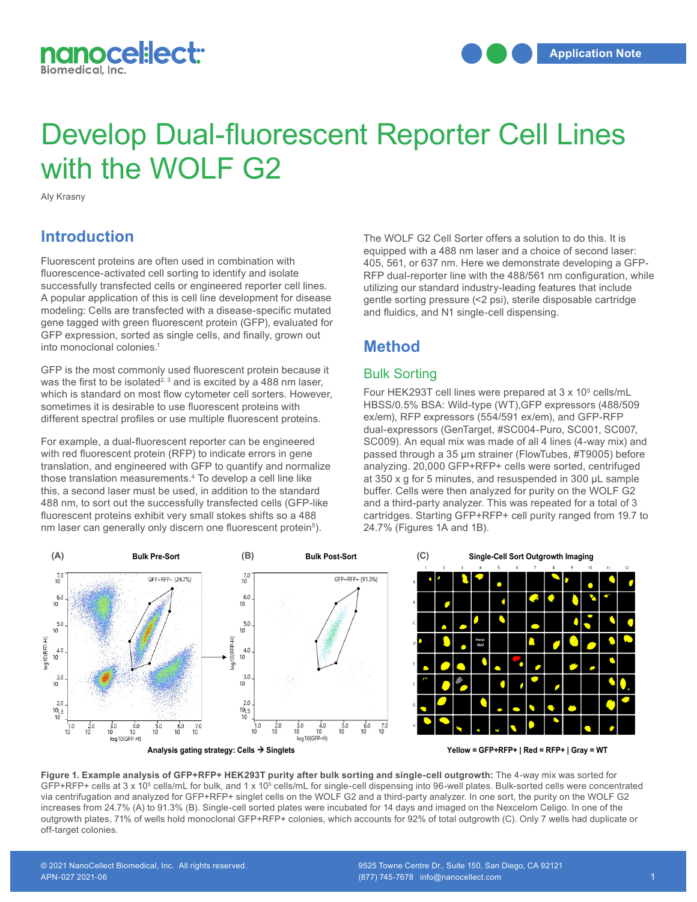

# Develop Dual-fluorescent Reporter Cell Lines with the WOLF G2

Aly Krasny

## **Introduction**

Fluorescent proteins are often used in combination with fluorescence-activated cell sorting to identify and isolate successfully transfected cells or engineered reporter cell lines. A popular application of this is cell line development for disease modeling: Cells are transfected with a disease-specific mutated gene tagged with green fluorescent protein (GFP), evaluated for GFP expression, sorted as single cells, and finally, grown out into monoclonal colonies.1

GFP is the most commonly used fluorescent protein because it was the first to be isolated<sup>2, 3</sup> and is excited by a 488 nm laser, which is standard on most flow cytometer cell sorters. However, sometimes it is desirable to use fluorescent proteins with different spectral profiles or use multiple fluorescent proteins.

For example, a dual-fluorescent reporter can be engineered with red fluorescent protein (RFP) to indicate errors in gene translation, and engineered with GFP to quantify and normalize those translation measurements.4 To develop a cell line like those translation measurements. To develop a cell line like at 350 x g to<br>this, a second laser must be used, in addition to the standard buffer. Cells 488 nm, to sort out the successfully transfected cells (GFP-like fluorescent proteins exhibit very small stokes shifts so a 488 nm laser can generally only discern one fluorescent protein<sup>5</sup>).

The WOLF G2 Cell Sorter offers a solution to do this. It is equipped with a 488 nm laser and a choice of second laser: 405, 561, or 637 nm. Here we demonstrate developing a GFP-RFP dual-reporter line with the 488/561 nm configuration, while utilizing our standard industry-leading features that include gentle sorting pressure (<2 psi), sterile disposable cartridge and fluidics, and N1 single-cell dispensing.

## **Method**

## Bulk Sorting

Four HEK293T cell lines were prepared at 3 x 10<sup>5</sup> cells/mL HBSS/0.5% BSA: Wild-type (WT),GFP expressors (488/509 ex/em), RFP expressors (554/591 ex/em), and GFP-RFP dual-expressors (GenTarget, #SC004-Puro, SC001, SC007, SC009). An equal mix was made of all 4 lines (4-way mix) and passed through a 35 μm strainer (FlowTubes, #T9005) before analyzing. 20,000 GFP+RFP+ cells were sorted, centrifuged at 350 x g for 5 minutes, and resuspended in 300 μL sample buffer. Cells were then analyzed for purity on the WOLF G2 and a third-party analyzer. This was repeated for a total of 3 cartridges. Starting GFP+RFP+ cell purity ranged from 19.7 to 24.7% (Figures 1A and 1B).



**Figure 1. Example analysis of GFP+RFP+ HEK293T purity after bulk sorting and single-cell outgrowth:** The 4-way mix was sorted for GFP+RFP+ cells at 3 x 10<sup>5</sup> cells/mL for bulk, and 1 x 10<sup>5</sup> cells/mL for single-cell dispensing into 96-well plates. Bulk-sorted cells were concentrated via centrifugation and analyzed for GFP+RFP+ singlet cells on the WOLF G2 and a third-party analyzer. In one sort, the purity on the WOLF G2 increases from 24.7% (A) to 91.3% (B). Single-cell sorted plates were incubated for 14 days and imaged on the Nexcelom Celigo. In one of the outgrowth plates, 71% of wells hold monoclonal GFP+RFP+ colonies, which accounts for 92% of total outgrowth (C). Only 7 wells had duplicate or off-target colonies.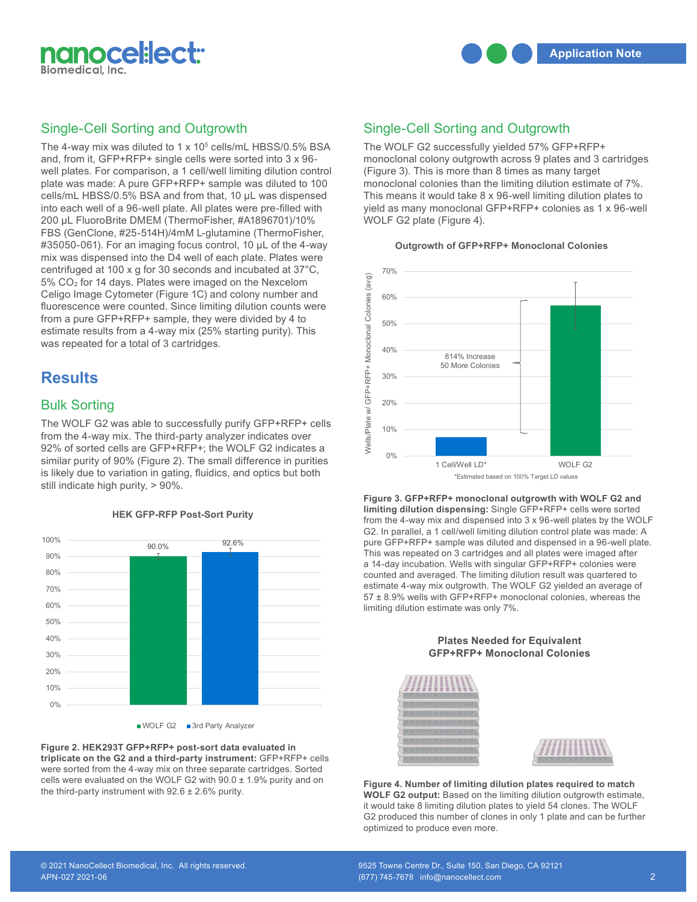

#### Single-Cell Sorting and Outgrowth

The 4-way mix was diluted to 1 x 10<sup>5</sup> cells/mL HBSS/0.5% BSA and, from it, GFP+RFP+ single cells were sorted into 3 x 96 well plates. For comparison, a 1 cell/well limiting dilution control plate was made: A pure GFP+RFP+ sample was diluted to 100 cells/mL HBSS/0.5% BSA and from that, 10 μL was dispensed into each well of a 96-well plate. All plates were pre-filled with 200 μL FluoroBrite DMEM (ThermoFisher, #A1896701)/10% FBS (GenClone, #25-514H)/4mM L-glutamine (ThermoFisher, #35050-061). For an imaging focus control, 10 μL of the 4-way mix was dispensed into the D4 well of each plate. Plates were centrifuged at 100 x g for 30 seconds and incubated at 37°C, 5% CO2 for 14 days. Plates were imaged on the Nexcelom Celigo Image Cytometer (Figure 1C) and colony number and fluorescence were counted. Since limiting dilution counts were from a pure GFP+RFP+ sample, they were divided by 4 to estimate results from a 4-way mix (25% starting purity). This was repeated for a total of 3 cartridges.

## **Results**

#### Bulk Sorting

The WOLF G2 was able to successfully purify GFP+RFP+ cells from the 4-way mix. The third-party analyzer indicates over 92% of sorted cells are GFP+RFP+; the WOLF G2 indicates a similar purity of 90% (Figure 2). The small difference in purities is likely due to variation in gating, fluidics, and optics but both still indicate high purity, > 90%.



WOLF G2 3rd Party Analyzer

Figure 2. HEK293T GFP+RFP+ post-sort data evaluated in triplicate on the G2 and a third-party instrument: GFP+RFP+ cells were sorted from the 4-way mix on three separate cartridges. Sorted cells were evaluated on the WOLF G2 with  $90.0 \pm 1.9\%$  purity and on the third-party instrument with  $92.6 \pm 2.6\%$  purity.

### Single-Cell Sorting and Outgrowth

The WOLF G2 successfully yielded 57% GFP+RFP+ monoclonal colony outgrowth across 9 plates and 3 cartridges (Figure 3). This is more than 8 times as many target monoclonal colonies than the limiting dilution estimate of 7%. This means it would take 8 x 96-well limiting dilution plates to yield as many monoclonal GFP+RFP+ colonies as 1 x 96-well WOLF G2 plate (Figure 4).

**Outgrowth of GFP+RFP+ Monoclonal Colonies**



from the 4-way mix and dispensed into 3 x 96-well plates by the WOLF G2. In parallel, a 1 cell/well limiting dilution control plate was made: A pure GFP+RFP+ sample was diluted and dispensed in a 96-well plate. This was repeated on 3 cartridges and all plates were imaged after a 14-day incubation. Wells with singular GFP+RFP+ colonies were counted and averaged. The limiting dilution result was quartered to **Figure 3. GFP+RFP+ monoclonal outgrowth with WOLF G2 and limiting dilution dispensing:** Single GFP+RFP+ cells were sorted estimate 4-way mix outgrowth. The WOLF G2 yielded an average of 57 ± 8.9% wells with GFP+RFP+ monoclonal colonies, whereas the limiting dilution estimate was only 7%.



**Figure 3. GFP+RFP+ monoclonal outgrowth with WOLF G2 and limiting dilution dispensing:**   $S_{\rm eff}$  cells were sorted from the 4-way mix and dispensed into 3  $\alpha$  96-well plates by the 3  $\alpha$  96-well plates by the 4-way mix and dispensed into 3  $\alpha$  96-well plates by the 4-way mix and dispensed into 3  $\alpha$  96-w  $\mathcal{L}$  in parallel, a 1 cell/well limiting distribution control plate was made:  $\mathcal{L}$ sample was diluted and dispensed in a 96-well plate. This was repeated on 3 cartridges and all plates were imaged after a 14-day incubation. We consider a 14-day inclusion. We consider  $\alpha$ averaged. The limiting dilution result was quartered to estimate 4-way mix outgrowth. The WOLF G2 it would take 8 limiting dilution plates to yield 54 clones. The WOLF G2 produced this number of clones in only 1 plate and can be further optimized to produce even more. Figure 4. Number of limiting dilution plates required to match **WOLF G2 output:** Based on the limiting dilution outgrowth estimate, averaged. The limiting dilution result was quartered to estimate 4-way mix outgrowth. The WOLF G2

# **HEK GFP-RFP Post-Sort Purity**